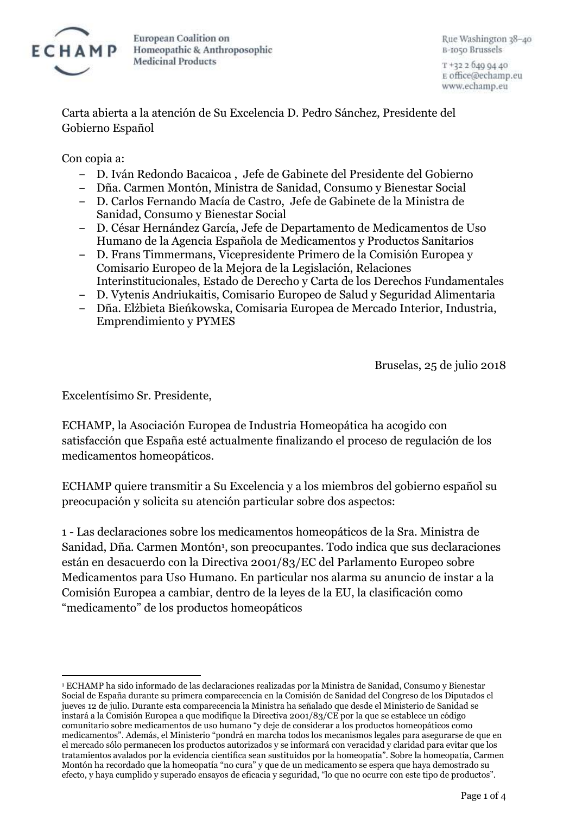

Rue Washington 38-40 B-1050 Brussels

T +32 2 640 04 40 E office@echamp.eu www.echamp.eu

Carta abierta a la atención de Su Excelencia D. Pedro Sánchez, Presidente del Gobierno Español

Con copia a:

- ‒ D. Iván Redondo Bacaicoa , Jefe de Gabinete del Presidente del Gobierno
- ‒ Dña. Carmen Montón, Ministra de Sanidad, Consumo y Bienestar Social
- ‒ D. Carlos Fernando Macía de Castro, Jefe de Gabinete de la Ministra de Sanidad, Consumo y Bienestar Social
- ‒ D. César Hernández García, Jefe de Departamento de Medicamentos de Uso Humano de la Agencia Española de Medicamentos y Productos Sanitarios
- ‒ D. Frans Timmermans, Vicepresidente Primero de la Comisión Europea y Comisario Europeo de la Mejora de la Legislación, Relaciones Interinstitucionales, Estado de Derecho y Carta de los Derechos Fundamentales
- ‒ D. Vytenis Andriukaitis, Comisario Europeo de Salud y Seguridad Alimentaria
- ‒ Dña. Elżbieta Bieńkowska, Comisaria Europea de Mercado Interior, Industria, Emprendimiento y PYMES

Bruselas, 25 de julio 2018

Excelentísimo Sr. Presidente,

 $\overline{a}$ 

ECHAMP, la Asociación Europea de Industria Homeopática ha acogido con satisfacción que España esté actualmente finalizando el proceso de regulación de los medicamentos homeopáticos.

ECHAMP quiere transmitir a Su Excelencia y a los miembros del gobierno español su preocupación y solicita su atención particular sobre dos aspectos:

1 - Las declaraciones sobre los medicamentos homeopáticos de la Sra. Ministra de Sanidad, Dña. Carmen Montón<sup>1</sup>, son preocupantes. Todo indica que sus declaraciones están en desacuerdo con la Directiva 2001/83/EC del Parlamento Europeo sobre Medicamentos para Uso Humano. En particular nos alarma su anuncio de instar a la Comisión Europea a cambiar, dentro de la leyes de la EU, la clasificación como "medicamento" de los productos homeopáticos

<sup>1</sup> ECHAMP ha sido informado de las declaraciones realizadas por la Ministra de Sanidad, Consumo y Bienestar Social de España durante su primera comparecencia en la Comisión de Sanidad del Congreso de los Diputados el jueves 12 de julio. Durante esta comparecencia la Ministra ha señalado que desde el Ministerio de Sanidad se instará a la Comisión Europea a que modifique la Directiva 2001/83/CE por la que se establece un código comunitario sobre medicamentos de uso humano "y deje de considerar a los productos homeopáticos como medicamentos". Además, el Ministerio "pondrá en marcha todos los mecanismos legales para asegurarse de que en el mercado sólo permanecen los productos autorizados y se informará con veracidad y claridad para evitar que los tratamientos avalados por la evidencia científica sean sustituidos por la homeopatía". Sobre la homeopatía, Carmen Montón ha recordado que la homeopatía "no cura" y que de un medicamento se espera que haya demostrado su efecto, y haya cumplido y superado ensayos de eficacia y seguridad, "lo que no ocurre con este tipo de productos".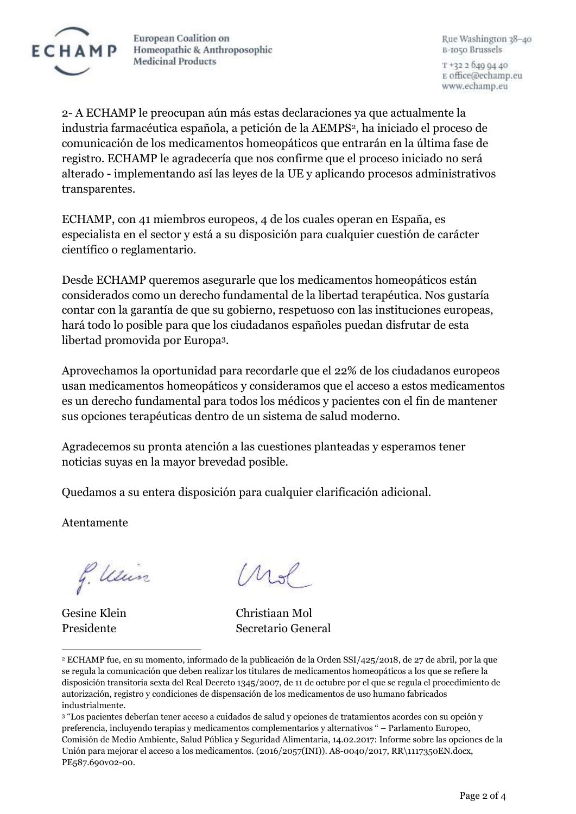

Rue Washington 38-40 B-1050 Brussels

T +32 2 640 04 40 E office@echamp.eu www.echamp.eu

2- A ECHAMP le preocupan aún más estas declaraciones ya que actualmente la industria farmacéutica española, a petición de la AEMPS2, ha iniciado el proceso de comunicación de los medicamentos homeopáticos que entrarán en la última fase de registro. ECHAMP le agradecería que nos confirme que el proceso iniciado no será alterado - implementando así las leyes de la UE y aplicando procesos administrativos transparentes.

ECHAMP, con 41 miembros europeos, 4 de los cuales operan en España, es especialista en el sector y está a su disposición para cualquier cuestión de carácter científico o reglamentario.

Desde ECHAMP queremos asegurarle que los medicamentos homeopáticos están considerados como un derecho fundamental de la libertad terapéutica. Nos gustaría contar con la garantía de que su gobierno, respetuoso con las instituciones europeas, hará todo lo posible para que los ciudadanos españoles puedan disfrutar de esta libertad promovida por Europa3.

Aprovechamos la oportunidad para recordarle que el 22% de los ciudadanos europeos usan medicamentos homeopáticos y consideramos que el acceso a estos medicamentos es un derecho fundamental para todos los médicos y pacientes con el fin de mantener sus opciones terapéuticas dentro de un sistema de salud moderno.

Agradecemos su pronta atención a las cuestiones planteadas y esperamos tener noticias suyas en la mayor brevedad posible.

Quedamos a su entera disposición para cualquier clarificación adicional.

Atentamente

g. Um

 $\overline{\phantom{a}}$ 

hol

Gesine Klein Christiaan Mol Presidente Secretario General

<sup>2</sup> ECHAMP fue, en su momento, informado de la publicación de la Orden SSI/425/2018, de 27 de abril, por la que se regula la comunicación que deben realizar los titulares de medicamentos homeopáticos a los que se refiere la disposición transitoria sexta del Real Decreto 1345/2007, de 11 de octubre por el que se regula el procedimiento de autorización, registro y condiciones de dispensación de los medicamentos de uso humano fabricados industrialmente.

<sup>3</sup> "Los pacientes deberían tener acceso a cuidados de salud y opciones de tratamientos acordes con su opción y preferencia, incluyendo terapias y medicamentos complementarios y alternativos " – Parlamento Europeo, Comisión de Medio Ambiente, Salud Pública y Seguridad Alimentaria, 14.02.2017: Informe sobre las opciones de la Unión para mejorar el acceso a los medicamentos. (2016/2057(INI)). A8-0040/2017, RR\1117350EN.docx, PE587.690v02-00.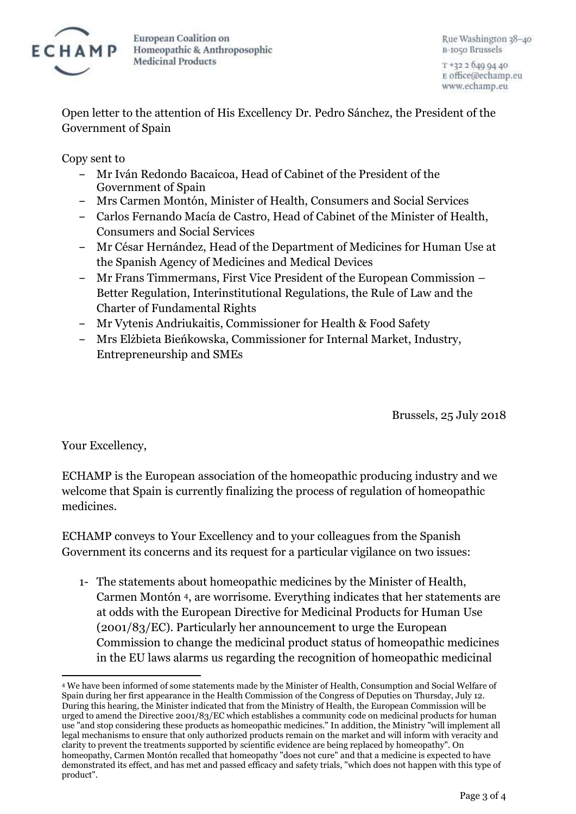

Rue Washington 38-40 B-1050 Brussels

T +32 2 640 04 40 E office@echamp.eu www.echamp.eu

Open letter to the attention of His Excellency Dr. Pedro Sánchez, the President of the Government of Spain

Copy sent to

- ‒ Mr Iván Redondo Bacaicoa, Head of Cabinet of the President of the Government of Spain
- ‒ Mrs Carmen Montón, Minister of Health, Consumers and Social Services
- ‒ Carlos Fernando Macía de Castro, Head of Cabinet of the Minister of Health, Consumers and Social Services
- ‒ Mr César Hernández, Head of the Department of Medicines for Human Use at the Spanish Agency of Medicines and Medical Devices
- ‒ Mr Frans Timmermans, First Vice President of the European Commission Better Regulation, Interinstitutional Regulations, the Rule of Law and the Charter of Fundamental Rights
- ‒ Mr Vytenis Andriukaitis, Commissioner for Health & Food Safety
- ‒ Mrs Elżbieta Bieńkowska, Commissioner for Internal Market, Industry, Entrepreneurship and SMEs

Brussels, 25 July 2018

Your Excellency,

ECHAMP is the European association of the homeopathic producing industry and we welcome that Spain is currently finalizing the process of regulation of homeopathic medicines.

ECHAMP conveys to Your Excellency and to your colleagues from the Spanish Government its concerns and its request for a particular vigilance on two issues:

1- The statements about homeopathic medicines by the Minister of Health, Carmen Montón <sup>4</sup>, are worrisome. Everything indicates that her statements are at odds with the European Directive for Medicinal Products for Human Use (2001/83/EC). Particularly her announcement to urge the European Commission to change the medicinal product status of homeopathic medicines in the EU laws alarms us regarding the recognition of homeopathic medicinal

 $\overline{a}$ <sup>4</sup> We have been informed of some statements made by the Minister of Health, Consumption and Social Welfare of Spain during her first appearance in the Health Commission of the Congress of Deputies on Thursday, July 12. During this hearing, the Minister indicated that from the Ministry of Health, the European Commission will be urged to amend the Directive 2001/83/EC which establishes a community code on medicinal products for human use "and stop considering these products as homeopathic medicines." In addition, the Ministry "will implement all legal mechanisms to ensure that only authorized products remain on the market and will inform with veracity and clarity to prevent the treatments supported by scientific evidence are being replaced by homeopathy". On homeopathy, Carmen Montón recalled that homeopathy "does not cure" and that a medicine is expected to have demonstrated its effect, and has met and passed efficacy and safety trials, "which does not happen with this type of product".